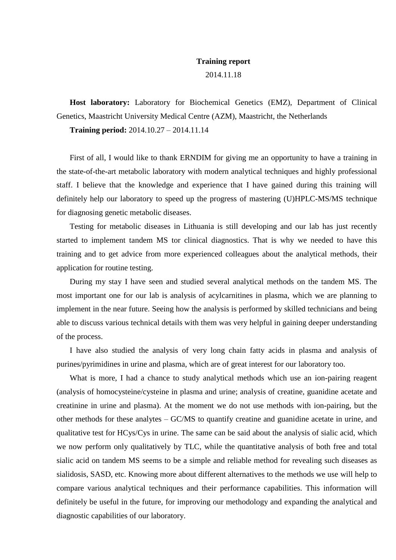## **Training report**

## 2014.11.18

**Host laboratory:** Laboratory for Biochemical Genetics (EMZ), Department of Clinical Genetics, Maastricht University Medical Centre (AZM), Maastricht, the Netherlands

**Training period:** 2014.10.27 – 2014.11.14

First of all, I would like to thank ERNDIM for giving me an opportunity to have a training in the state-of-the-art metabolic laboratory with modern analytical techniques and highly professional staff. I believe that the knowledge and experience that I have gained during this training will definitely help our laboratory to speed up the progress of mastering (U)HPLC-MS/MS technique for diagnosing genetic metabolic diseases.

Testing for metabolic diseases in Lithuania is still developing and our lab has just recently started to implement tandem MS tor clinical diagnostics. That is why we needed to have this training and to get advice from more experienced colleagues about the analytical methods, their application for routine testing.

During my stay I have seen and studied several analytical methods on the tandem MS. The most important one for our lab is analysis of acylcarnitines in plasma, which we are planning to implement in the near future. Seeing how the analysis is performed by skilled technicians and being able to discuss various technical details with them was very helpful in gaining deeper understanding of the process.

I have also studied the analysis of very long chain fatty acids in plasma and analysis of purines/pyrimidines in urine and plasma, which are of great interest for our laboratory too.

What is more, I had a chance to study analytical methods which use an ion-pairing reagent (analysis of homocysteine/cysteine in plasma and urine; analysis of creatine, guanidine acetate and creatinine in urine and plasma). At the moment we do not use methods with ion-pairing, but the other methods for these analytes – GC/MS to quantify creatine and guanidine acetate in urine, and qualitative test for HCys/Cys in urine. The same can be said about the analysis of sialic acid, which we now perform only qualitatively by TLC, while the quantitative analysis of both free and total sialic acid on tandem MS seems to be a simple and reliable method for revealing such diseases as sialidosis, SASD, etc. Knowing more about different alternatives to the methods we use will help to compare various analytical techniques and their performance capabilities. This information will definitely be useful in the future, for improving our methodology and expanding the analytical and diagnostic capabilities of our laboratory.